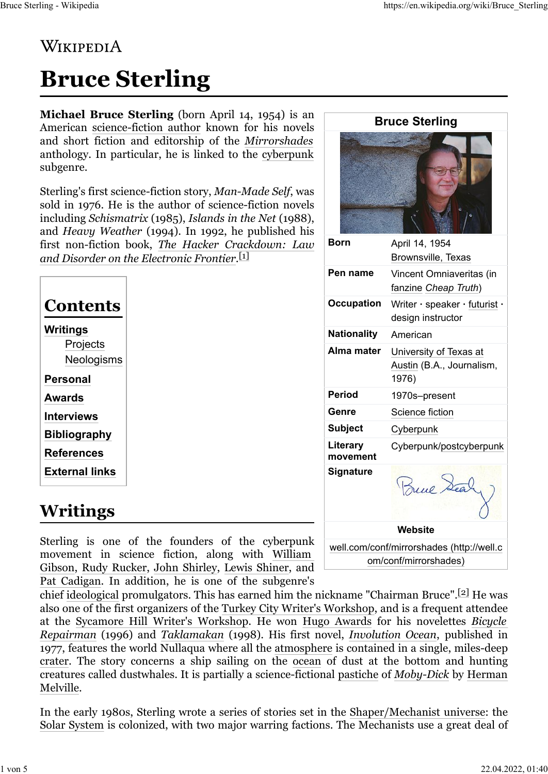#### **WIKIPEDIA**

# **Bruce Sterling**

**Michael Bruce Sterling** (born April 14, 1954) is an American [science-fiction author](https://en.wikipedia.org/wiki/Science-fiction_author) known for his novels and short fiction and editorship of the *[Mirrorshades](https://en.wikipedia.org/wiki/Mirrorshades)* anthology. In particular, he is linked to the [cyberpunk](https://en.wikipedia.org/wiki/Cyberpunk) subgenre.

Sterling's first science-fiction story, *Man-Made Self*, was sold in 1976. He is the author of science-fiction novels including *Schismatrix* (1985), *Islands in the Net* (1988), and *Heavy Weather* (1994). In 1992, he published his first non-fiction book, *[The Hacker Crackdown: Law](https://en.wikipedia.org/wiki/The_Hacker_Crackdown)* [and Disorder on the Electronic Frontier](https://en.wikipedia.org/wiki/The_Hacker_Crackdown). $^{\text{[1]}}$  $^{\text{[1]}}$  $^{\text{[1]}}$ 

| <b>Contents</b>                    |  |
|------------------------------------|--|
| Writings<br>Projects<br>Neologisms |  |
| Personal                           |  |
| Awards                             |  |
| <b>Interviews</b>                  |  |
| <b>Bibliography</b>                |  |
| <b>References</b>                  |  |
| <b>External links</b>              |  |
|                                    |  |

# **Writings**

Sterling is one of the founders of the cyberpunk movement in science fiction, along with [William](https://en.wikipedia.org/wiki/William_Gibson) [Gibson,](https://en.wikipedia.org/wiki/William_Gibson) [Rudy Rucker,](https://en.wikipedia.org/wiki/Rudy_Rucker) [John Shirley,](https://en.wikipedia.org/wiki/John_Shirley) [Lewis Shiner,](https://en.wikipedia.org/wiki/Lewis_Shiner) and [Pat Cadigan.](https://en.wikipedia.org/wiki/Pat_Cadigan) In addition, he is one of the subgenre's

| <b>Born</b>                             | April 14, 1954<br>Brownsville, Texas                         |  |
|-----------------------------------------|--------------------------------------------------------------|--|
| Pen name                                | Vincent Omniaveritas (in<br>fanzine Cheap Truth)             |  |
| <b>Occupation</b>                       | Writer · speaker · futurist ·<br>design instructor           |  |
| <b>Nationality</b>                      | American                                                     |  |
| Alma mater                              | University of Texas at<br>Austin (B.A., Journalism,<br>1976) |  |
| <b>Period</b>                           | 1970s-present                                                |  |
| Genre                                   | Science fiction                                              |  |
| <b>Subject</b>                          | Cyberpunk                                                    |  |
| Literary<br>movement                    | Cyberpunk/postcyberpunk                                      |  |
| Signature                               | Brue Sea                                                     |  |
| Website                                 |                                                              |  |
| m/oonf/mirrorohodoo/http://woll<br>الصن |                                                              |  |

**Bruce Sterling**

[well.com/conf/mirrorshades \(http://well.c](http://well.com/conf/mirrorshades) [om/conf/mirrorshades\)](http://well.com/conf/mirrorshades)

chief [ideological](https://en.wikipedia.org/wiki/Ideological) promulgators. This has earned him the nickname "Chairman Bruce".<sup>[2]</sup> He was also one of the first organizers of the [Turkey City Writer's Workshop,](https://en.wikipedia.org/wiki/Turkey_City_Writer%27s_Workshop) and is a frequent attendee at the [Sycamore Hill Writer's Workshop.](https://en.wikipedia.org/wiki/Sycamore_Hill_Writer%27s_Workshop) He won [Hugo Awards](https://en.wikipedia.org/wiki/Hugo_Award) for his novelettes *[Bicycle](https://en.wikipedia.org/wiki/Bicycle_Repairman) [Repairman](https://en.wikipedia.org/wiki/Bicycle_Repairman)* (1996) and *[Taklamakan](https://en.wikipedia.org/wiki/Taklamakan_(story))* (1998). His first novel, *[Involution Ocean](https://en.wikipedia.org/wiki/Involution_Ocean)*, published in 1977, features the world Nullaqua where all the [atmosphere](https://en.wikipedia.org/wiki/Earth%27s_atmosphere) is contained in a single, miles-deep [crater.](https://en.wikipedia.org/wiki/Impact_crater) The story concerns a ship sailing on the [ocean](https://en.wikipedia.org/wiki/Ocean) of dust at the bottom and hunting creatures called dustwhales. It is partially a science-fictional [pastiche](https://en.wikipedia.org/wiki/Pastiche) of *[Moby-Dick](https://en.wikipedia.org/wiki/Moby-Dick)* by [Herman](https://en.wikipedia.org/wiki/Herman_Melville) [Melville.](https://en.wikipedia.org/wiki/Herman_Melville)

In the early 1980s, Sterling wrote a series of stories set in the [Shaper/Mechanist universe:](https://en.wikipedia.org/wiki/Shaper/Mechanist_universe) the [Solar System](https://en.wikipedia.org/wiki/Solar_System) is colonized, with two major warring factions. The Mechanists use a great deal of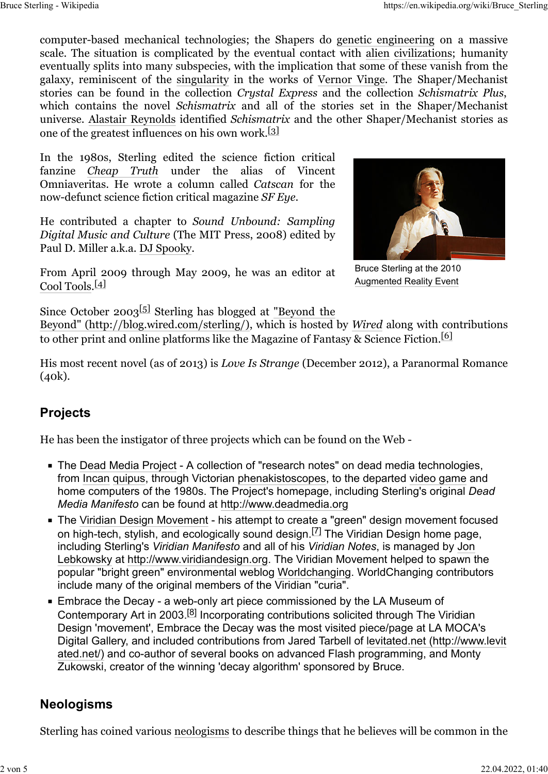computer-based mechanical technologies; the Shapers do [genetic engineering](https://en.wikipedia.org/wiki/Genetic_engineering) on a massive scale. The situation is complicated by the eventual contact with [alien](https://en.wikipedia.org/wiki/Extraterrestrial_life) [civilizations;](https://en.wikipedia.org/wiki/Civilization) humanity eventually splits into many subspecies, with the implication that some of these vanish from the galaxy, reminiscent of the [singularity](https://en.wikipedia.org/wiki/Technological_singularity) in the works of [Vernor Vinge.](https://en.wikipedia.org/wiki/Vernor_Vinge) The Shaper/Mechanist stories can be found in the collection *Crystal Express* and the collection *Schismatrix Plus*, which contains the novel *Schismatrix* and all of the stories set in the Shaper/Mechanist universe. [Alastair Reynolds](https://en.wikipedia.org/wiki/Alastair_Reynolds) identified *Schismatrix* and the other Shaper/Mechanist stories as one of the greatest influences on his own work.<sup>[\[3\]](https://en.wikipedia.org/wiki/Bruce_Sterling#cite_note-3)</sup>

In the 1980s, Sterling edited the science fiction critical fanzine *[Cheap Truth](https://en.wikipedia.org/wiki/Cheap_Truth)* under the alias of Vincent Omniaveritas. He wrote a column called *Catscan* for the now-defunct science fiction critical magazine *SF Eye*.

He contributed a chapter to *Sound Unbound: Sampling Digital Music and Culture* (The MIT Press, 2008) edited by Paul D. Miller a.k.a. [DJ Spooky.](https://en.wikipedia.org/wiki/DJ_Spooky)

From April 2009 through May 2009, he was an editor at [Cool Tools.](https://en.wikipedia.org/wiki/Cool_Tools)[\[4\]](https://en.wikipedia.org/wiki/Bruce_Sterling#cite_note-4)



Bruce Sterling at the 2010 [Augmented Reality Event](https://en.wikipedia.org/wiki/Augmented_Reality_Event)

Since October 2003<sup>[\[5\]](https://en.wikipedia.org/wiki/Bruce_Sterling#cite_note-5)</sup> Sterling has blogged at ["Beyond the](http://blog.wired.com/sterling/)

[Beyond" \(http://blog.wired.com/sterling/\),](http://blog.wired.com/sterling/) which is hosted by *[Wired](https://en.wikipedia.org/wiki/Wired_(magazine))* along with contributions to other print and online platforms like the Magazine of Fantasy  $\&$  Science Fiction.<sup>[\[6\]](https://en.wikipedia.org/wiki/Bruce_Sterling#cite_note-6)</sup>

His most recent novel (as of 2013) is *Love Is Strange* (December 2012), a Paranormal Romance (40k).

#### **Projects**

He has been the instigator of three projects which can be found on the Web -

- **The [Dead Media Project](https://en.wikipedia.org/wiki/Dead_Media_Project)  A collection of "research notes" on dead media technologies,** from [Incan](https://en.wikipedia.org/wiki/Inca) [quipus,](https://en.wikipedia.org/wiki/Quipu) through Victorian [phenakistoscopes,](https://en.wikipedia.org/wiki/Phenakistoscope) to the departed [video game](https://en.wikipedia.org/wiki/Video_game) and home computers of the 1980s. The Project's homepage, including Sterling's original *Dead Media Manifesto* can be found at [http://www.deadmedia.org](http://www.deadmedia.org/)
- The [Viridian Design Movement](https://en.wikipedia.org/wiki/Viridian_Design_Movement)  his attempt to create a "green" design movement focused on high-tech, stylish, and ecologically sound design.  $[7]$  The Viridian Design home page, including Sterling's *Viridian Manifesto* and all of his *Viridian Notes*, is managed by [Jon](https://en.wikipedia.org/wiki/Jon_Lebkowsky) [Lebkowsky](https://en.wikipedia.org/wiki/Jon_Lebkowsky) at [http://www.viridiandesign.org.](http://www.viridiandesign.org/) The Viridian Movement helped to spawn the popular "bright green" environmental weblog [Worldchanging.](https://en.wikipedia.org/wiki/Worldchanging) WorldChanging contributors include many of the original members of the Viridian "curia".
- **Embrace the Decay a web-only art piece commissioned by the LA Museum of** Contemporary Art in 2003.[\[8\]](https://en.wikipedia.org/wiki/Bruce_Sterling#cite_note-8) Incorporating contributions solicited through The Viridian Design 'movement', Embrace the Decay was the most visited piece/page at LA MOCA's Digital Gallery, and included contributions from Jared Tarbell of [levitated.net \(http://www.levit](http://www.levitated.net/) [ated.net/\)](http://www.levitated.net/) and co-author of several books on advanced Flash programming, and Monty Zukowski, creator of the winning 'decay algorithm' sponsored by Bruce.

#### **Neologisms**

Sterling has coined various [neologisms](https://en.wikipedia.org/wiki/Neologisms) to describe things that he believes will be common in the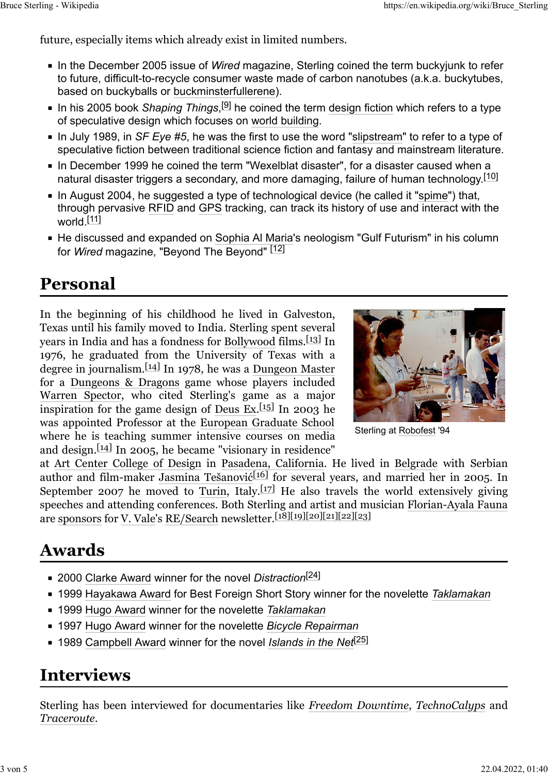future, especially items which already exist in limited numbers.

- **I.** In the December 2005 issue of *Wired* magazine, Sterling coined the term buckyjunk to refer to future, difficult-to-recycle consumer waste made of carbon nanotubes (a.k.a. buckytubes, based on buckyballs or [buckminsterfullerene\)](https://en.wikipedia.org/wiki/Fullerene).
- In his 2005 book S*haping Things*,<sup>[9]</sup> he coined the term [design fiction](https://en.wikipedia.org/wiki/Design_fiction) which refers to a type of speculative design which focuses on [world building.](https://en.wikipedia.org/wiki/World_building)
- In July 1989, in *SF Eye #5*, he was the first to use the word "[slipstream"](https://en.wikipedia.org/wiki/Slipstream_(genre)) to refer to a type of speculative fiction between traditional science fiction and fantasy and mainstream literature.
- **I.** In December 1999 he coined the term "Wexelblat disaster", for a disaster caused when a natural disaster triggers a secondary, and more damaging, failure of human technology.<sup>[\[10\]](https://en.wikipedia.org/wiki/Bruce_Sterling#cite_note-10)</sup>
- In August 2004, he suggested a type of technological device (he called it "[spime"](https://en.wikipedia.org/wiki/Spime)) that, through pervasive [RFID](https://en.wikipedia.org/wiki/RFID) and [GPS](https://en.wikipedia.org/wiki/GPS) tracking, can track its history of use and interact with the world.<sup>[\[11\]](https://en.wikipedia.org/wiki/Bruce_Sterling#cite_note-11)</sup>
- He discussed and expanded on [Sophia Al Maria](https://en.wikipedia.org/wiki/Sophia_Al_Maria)'s neologism "Gulf Futurism" in his column for *Wired* magazine, "Beyond The Beyond" [\[12\]](https://en.wikipedia.org/wiki/Bruce_Sterling#cite_note-12)

#### **Personal**

In the beginning of his childhood he lived in Galveston, Texas until his family moved to India. Sterling spent several years in India and has a fondness for [Bollywood](https://en.wikipedia.org/wiki/Bollywood) films.<sup>[13]</sup> In 1976, he graduated from the University of Texas with a degree in journalism.  $\left[14\right]$  In 1978, he was a [Dungeon Master](https://en.wikipedia.org/wiki/Dungeon_Master) for a [Dungeons & Dragons](https://en.wikipedia.org/wiki/Dungeons_%26_Dragons) game whose players included [Warren Spector,](https://en.wikipedia.org/wiki/Warren_Spector) who cited Sterling's game as a major inspiration for the game design of [Deus Ex.](https://en.wikipedia.org/wiki/Deus_Ex) $[15]$  In 2003 he was appointed Professor at the [European Graduate School](https://en.wikipedia.org/wiki/European_Graduate_School) where he is teaching summer intensive courses on media and design. $\left[14\right]$  In 2005, he became "visionary in residence"



Sterling at [Robofest](https://en.wikipedia.org/wiki/Robofest) '94

at [Art Center College of Design](https://en.wikipedia.org/wiki/Art_Center_College_of_Design) in [Pasadena, California.](https://en.wikipedia.org/wiki/Pasadena,_California) He lived in [Belgrade](https://en.wikipedia.org/wiki/Belgrade) with Serbian author and film-maker [Jasmina Tešanovi](https://en.wikipedia.org/wiki/Jasmina_Te%C5%A1anovi%C4%87)ć<sup>[\[16\]](https://en.wikipedia.org/wiki/Bruce_Sterling#cite_note-16)</sup> for several years, and married her in 2005. In September 2007 he moved to [Turin,](https://en.wikipedia.org/wiki/Turin) Italy.<sup>[\[17\]](https://en.wikipedia.org/wiki/Bruce_Sterling#cite_note-17)</sup> He also travels the world extensively giving speeches and attending conferences. Both Sterling and artist and musician [Florian-Ayala Fauna](https://en.wikipedia.org/wiki/Florian-Ayala_Fauna) are [sponsors](https://en.wikipedia.org/wiki/Sponsor_(commercial)) for [V. Vale'](https://en.wikipedia.org/wiki/V._Vale)s [RE/Search](https://en.wikipedia.org/wiki/RE/Search) newsletter.[\[18\]](https://en.wikipedia.org/wiki/Bruce_Sterling#cite_note-Sterling_2017-1-18)[\[19\]](https://en.wikipedia.org/wiki/Bruce_Sterling#cite_note-Sterling_2017-2-19)[\[20\]](https://en.wikipedia.org/wiki/Bruce_Sterling#cite_note-Sterling_2017-3-20)[\[21\]](https://en.wikipedia.org/wiki/Bruce_Sterling#cite_note-Sterling_2017-04-21)[\[22\]](https://en.wikipedia.org/wiki/Bruce_Sterling#cite_note-Sterling_2017-05-22)[\[23\]](https://en.wikipedia.org/wiki/Bruce_Sterling#cite_note-Sterling_2017-06-23)

#### **Awards**

- 2000 [Clarke Award](https://en.wikipedia.org/wiki/Arthur_C._Clarke_Award) winner for the novel *Distraction*[\[24\]](https://en.wikipedia.org/wiki/Bruce_Sterling#cite_note-WWE-2000-24)
- 1999 [Hayakawa Award](https://en.wikipedia.org/wiki/Hayakawa_Award) for Best Foreign Short Story winner for the novelette [Taklamakan](https://en.wikipedia.org/wiki/Taklamakan_(story))
- 1999 [Hugo Award](https://en.wikipedia.org/wiki/Hugo_Award) winner for the novelette [Taklamakan](https://en.wikipedia.org/wiki/Taklamakan_(story))
- **EX41997 [Hugo Award](https://en.wikipedia.org/wiki/Hugo_Award) winner for the novelette [Bicycle Repairman](https://en.wikipedia.org/wiki/Bicycle_Repairman)**
- 1989 [Campbell Award](https://en.wikipedia.org/wiki/John_W._Campbell_Memorial_Award_for_Best_Science_Fiction_Novel) winner for the novel *[Islands in the Net](https://en.wikipedia.org/wiki/Islands_in_the_Net)*[\[25\]](https://en.wikipedia.org/wiki/Bruce_Sterling#cite_note-WWE-1989-25)

#### **Interviews**

Sterling has been interviewed for documentaries like *[Freedom Downtime](https://en.wikipedia.org/wiki/Freedom_Downtime)*, *[TechnoCalyps](https://en.wikipedia.org/wiki/TechnoCalyps)* and *[Traceroute](https://en.wikipedia.org/wiki/Traceroute_(film))*.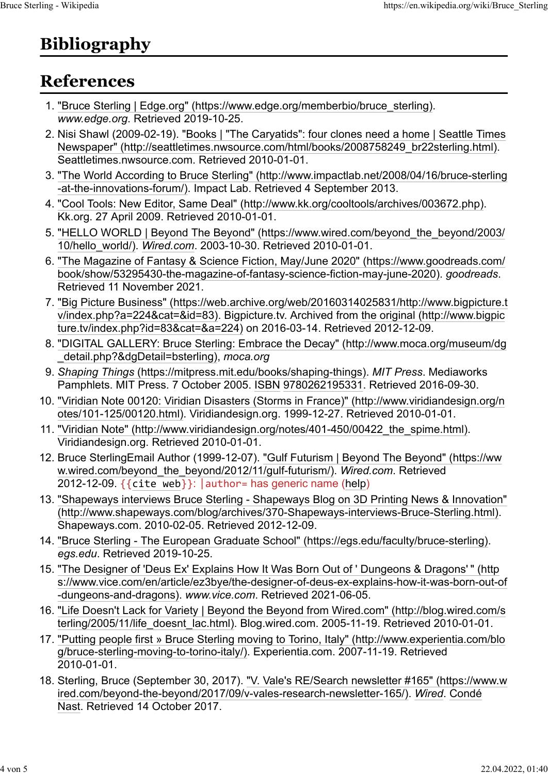# **Bibliography**

### **References**

- 1. ["Bruce Sterling | Edge.org" \(https://www.edge.org/memberbio/bruce\\_sterling\).](https://www.edge.org/memberbio/bruce_sterling) *www.edge.org*. Retrieved 2019-10-25.
- 2. Nisi Shawl (2009-02-19). ["Books | "The Caryatids": four clones need a home | Seattle Times](http://seattletimes.nwsource.com/html/books/2008758249_br22sterling.html) [Newspaper" \(http://seattletimes.nwsource.com/html/books/2008758249\\_br22sterling.html\).](http://seattletimes.nwsource.com/html/books/2008758249_br22sterling.html) Seattletimes.nwsource.com. Retrieved 2010-01-01.
- 3. ["The World According to Bruce Sterling" \(http://www.impactlab.net/2008/04/16/bruce-sterling](http://www.impactlab.net/2008/04/16/bruce-sterling-at-the-innovations-forum/) [-at-the-innovations-forum/\).](http://www.impactlab.net/2008/04/16/bruce-sterling-at-the-innovations-forum/) Impact Lab. Retrieved 4 September 2013.
- 4. ["Cool Tools: New Editor, Same Deal" \(http://www.kk.org/cooltools/archives/003672.php\).](http://www.kk.org/cooltools/archives/003672.php) Kk.org. 27 April 2009. Retrieved 2010-01-01.
- 5. ["HELLO WORLD | Beyond The Beyond" \(https://www.wired.com/beyond\\_the\\_beyond/2003/](https://www.wired.com/beyond_the_beyond/2003/10/hello_world/) [10/hello\\_world/\).](https://www.wired.com/beyond_the_beyond/2003/10/hello_world/) *[Wired.com](https://en.wikipedia.org/wiki/Wired.com)*. 2003-10-30. Retrieved 2010-01-01.
- 6. ["The Magazine of Fantasy & Science Fiction, May/June 2020" \(https://www.goodreads.com/](https://www.goodreads.com/book/show/53295430-the-magazine-of-fantasy-science-fiction-may-june-2020) [book/show/53295430-the-magazine-of-fantasy-science-fiction-may-june-2020\).](https://www.goodreads.com/book/show/53295430-the-magazine-of-fantasy-science-fiction-may-june-2020) *goodreads*. Retrieved 11 November 2021.
- 7. ["Big Picture Business" \(https://web.archive.org/web/20160314025831/http://www.bigpicture.t](https://web.archive.org/web/20160314025831/http://www.bigpicture.tv/index.php?a=224&cat=&id=83) [v/index.php?a=224&cat=&id=83\).](https://web.archive.org/web/20160314025831/http://www.bigpicture.tv/index.php?a=224&cat=&id=83) Bigpicture.tv. Archived from [the original \(http://www.bigpic](http://www.bigpicture.tv/index.php?id=83&cat=&a=224) [ture.tv/index.php?id=83&cat=&a=224\)](http://www.bigpicture.tv/index.php?id=83&cat=&a=224) on 2016-03-14. Retrieved 2012-12-09.
- 8. ["DIGITAL GALLERY: Bruce Sterling: Embrace the Decay" \(http://www.moca.org/museum/dg](http://www.moca.org/museum/dg_detail.php?&dgDetail=bsterling) [\\_detail.php?&dgDetail=bsterling\),](http://www.moca.org/museum/dg_detail.php?&dgDetail=bsterling) *moca.org*
- 9. *[Shaping Things](https://mitpress.mit.edu/books/shaping-things)* [\(https://mitpress.mit.edu/books/shaping-things\).](https://mitpress.mit.edu/books/shaping-things) *MIT Press*. Mediaworks Pamphlets. MIT Press. 7 October 2005. [ISBN](https://en.wikipedia.org/wiki/ISBN_(identifier)) [9780262195331.](https://en.wikipedia.org/wiki/Special:BookSources/9780262195331) Retrieved 2016-09-30.
- 10. ["Viridian Note 00120: Viridian Disasters \(Storms in France\)" \(http://www.viridiandesign.org/n](http://www.viridiandesign.org/notes/101-125/00120.html) [otes/101-125/00120.html\).](http://www.viridiandesign.org/notes/101-125/00120.html) Viridiandesign.org. 1999-12-27. Retrieved 2010-01-01.
- 11. "Viridian Note" (http://www.viridiandesign.org/notes/401-450/00422 the spime.html). Viridiandesign.org. Retrieved 2010-01-01.
- 12. Bruce SterlingEmail Author (1999-12-07). ["Gulf Futurism | Beyond The Beyond" \(https://ww](https://www.wired.com/beyond_the_beyond/2012/11/gulf-futurism/) [w.wired.com/beyond\\_the\\_beyond/2012/11/gulf-futurism/\).](https://www.wired.com/beyond_the_beyond/2012/11/gulf-futurism/) *Wired.com*. Retrieved 2012-12-09.  $\{$ [{cite web}](https://en.wikipedia.org/wiki/Template:Cite_web)}: | author= has generic name [\(help\)](https://en.wikipedia.org/wiki/Help:CS1_errors#generic_name)
- 13. ["Shapeways interviews Bruce Sterling Shapeways Blog on 3D Printing News & Innovation"](http://www.shapeways.com/blog/archives/370-Shapeways-interviews-Bruce-Sterling.html) [\(http://www.shapeways.com/blog/archives/370-Shapeways-interviews-Bruce-Sterling.html\).](http://www.shapeways.com/blog/archives/370-Shapeways-interviews-Bruce-Sterling.html) Shapeways.com. 2010-02-05. Retrieved 2012-12-09.
- 14. ["Bruce Sterling The European Graduate School" \(https://egs.edu/faculty/bruce-sterling\).](https://egs.edu/faculty/bruce-sterling) *egs.edu*. Retrieved 2019-10-25.
- 15. ["The Designer of 'Deus Ex' Explains How It Was Born Out of ' Dungeons & Dragons'](https://www.vice.com/en/article/ez3bye/the-designer-of-deus-ex-explains-how-it-was-born-out-of-dungeons-and-dragons) [" \(http](https://www.vice.com/en/article/ez3bye/the-designer-of-deus-ex-explains-how-it-was-born-out-of-dungeons-and-dragons) [s://www.vice.com/en/article/ez3bye/the-designer-of-deus-ex-explains-how-it-was-born-out-of](https://www.vice.com/en/article/ez3bye/the-designer-of-deus-ex-explains-how-it-was-born-out-of-dungeons-and-dragons) [-dungeons-and-dragons\).](https://www.vice.com/en/article/ez3bye/the-designer-of-deus-ex-explains-how-it-was-born-out-of-dungeons-and-dragons) *www.vice.com*. Retrieved 2021-06-05.
- 16. ["Life Doesn't Lack for Variety | Beyond the Beyond from Wired.com" \(http://blog.wired.com/s](http://blog.wired.com/sterling/2005/11/life_doesnt_lac.html) [terling/2005/11/life\\_doesnt\\_lac.html\).](http://blog.wired.com/sterling/2005/11/life_doesnt_lac.html) Blog.wired.com. 2005-11-19. Retrieved 2010-01-01.
- 17. ["Putting people first » Bruce Sterling moving to Torino, Italy" \(http://www.experientia.com/blo](http://www.experientia.com/blog/bruce-sterling-moving-to-torino-italy/) [g/bruce-sterling-moving-to-torino-italy/\).](http://www.experientia.com/blog/bruce-sterling-moving-to-torino-italy/) Experientia.com. 2007-11-19. Retrieved 2010-01-01.
- 18. Sterling, Bruce (September 30, 2017). ["V. Vale's RE/Search newsletter #165" \(https://www.w](https://www.wired.com/beyond-the-beyond/2017/09/v-vales-research-newsletter-165/) [ired.com/beyond-the-beyond/2017/09/v-vales-research-newsletter-165/\).](https://www.wired.com/beyond-the-beyond/2017/09/v-vales-research-newsletter-165/) *[Wired](https://en.wikipedia.org/wiki/Wired_(magazine))*. [Condé](https://en.wikipedia.org/wiki/Cond%C3%A9_Nast) [Nast.](https://en.wikipedia.org/wiki/Cond%C3%A9_Nast) Retrieved 14 October 2017.